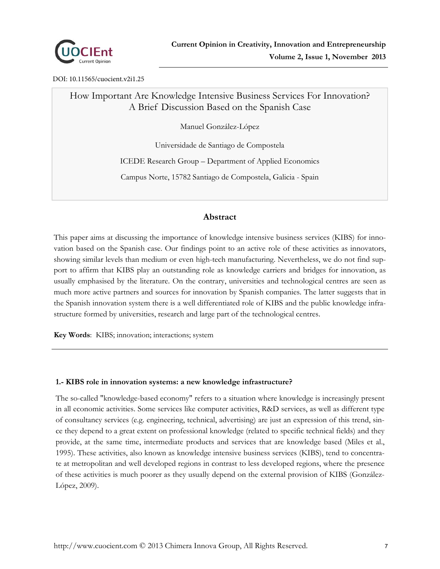

DOI: 10.11565/cuocient.v2i1.25

# How Important Are Knowledge Intensive Business Services For Innovation? A Brief Discussion Based on the Spanish Case

Manuel González-López

Universidade de Santiago de Compostela

ICEDE Research Group – Department of Applied Economics

Campus Norte, 15782 Santiago de Compostela, Galicia - Spain

## **Abstract**

This paper aims at discussing the importance of knowledge intensive business services (KIBS) for innovation based on the Spanish case. Our findings point to an active role of these activities as innovators, showing similar levels than medium or even high-tech manufacturing. Nevertheless, we do not find support to affirm that KIBS play an outstanding role as knowledge carriers and bridges for innovation, as usually emphasised by the literature. On the contrary, universities and technological centres are seen as much more active partners and sources for innovation by Spanish companies. The latter suggests that in the Spanish innovation system there is a well differentiated role of KIBS and the public knowledge infrastructure formed by universities, research and large part of the technological centres.

**Key Words**: KIBS; innovation; interactions; system

### **1.- KIBS role in innovation systems: a new knowledge infrastructure?**

The so-called "knowledge-based economy" refers to a situation where knowledge is increasingly present in all economic activities. Some services like computer activities, R&D services, as well as different type of consultancy services (e.g. engineering, technical, advertising) are just an expression of this trend, since they depend to a great extent on professional knowledge (related to specific technical fields) and they provide, at the same time, intermediate products and services that are knowledge based (Miles et al., 1995). These activities, also known as knowledge intensive business services (KIBS), tend to concentrate at metropolitan and well developed regions in contrast to less developed regions, where the presence of these activities is much poorer as they usually depend on the external provision of KIBS (González-López, 2009).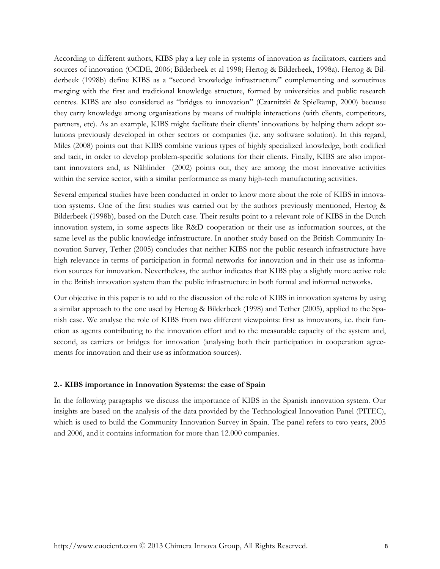According to different authors, KIBS play a key role in systems of innovation as facilitators, carriers and sources of innovation (OCDE, 2006; Bilderbeek et al 1998; Hertog & Bilderbeek, 1998a). Hertog & Bilderbeek (1998b) define KIBS as a "second knowledge infrastructure" complementing and sometimes merging with the first and traditional knowledge structure, formed by universities and public research centres. KIBS are also considered as "bridges to innovation" (Czarnitzki & Spielkamp, 2000) because they carry knowledge among organisations by means of multiple interactions (with clients, competitors, partners, etc). As an example, KIBS might facilitate their clients' innovations by helping them adopt solutions previously developed in other sectors or companies (i.e. any software solution). In this regard, Miles (2008) points out that KIBS combine various types of highly specialized knowledge, both codified and tacit, in order to develop problem-specific solutions for their clients. Finally, KIBS are also important innovators and, as Nählinder (2002) points out, they are among the most innovative activities within the service sector, with a similar performance as many high-tech manufacturing activities.

Several empirical studies have been conducted in order to know more about the role of KIBS in innovation systems. One of the first studies was carried out by the authors previously mentioned, Hertog & Bilderbeek (1998b), based on the Dutch case. Their results point to a relevant role of KIBS in the Dutch innovation system, in some aspects like R&D cooperation or their use as information sources, at the same level as the public knowledge infrastructure. In another study based on the British Community Innovation Survey, Tether (2005) concludes that neither KIBS nor the public research infrastructure have high relevance in terms of participation in formal networks for innovation and in their use as information sources for innovation. Nevertheless, the author indicates that KIBS play a slightly more active role in the British innovation system than the public infrastructure in both formal and informal networks.

Our objective in this paper is to add to the discussion of the role of KIBS in innovation systems by using a similar approach to the one used by Hertog & Bilderbeek (1998) and Tether (2005), applied to the Spanish case. We analyse the role of KIBS from two different viewpoints: first as innovators, i.e. their function as agents contributing to the innovation effort and to the measurable capacity of the system and, second, as carriers or bridges for innovation (analysing both their participation in cooperation agreements for innovation and their use as information sources).

#### **2.- KIBS importance in Innovation Systems: the case of Spain**

In the following paragraphs we discuss the importance of KIBS in the Spanish innovation system. Our insights are based on the analysis of the data provided by the Technological Innovation Panel (PITEC), which is used to build the Community Innovation Survey in Spain. The panel refers to two years, 2005 and 2006, and it contains information for more than 12.000 companies.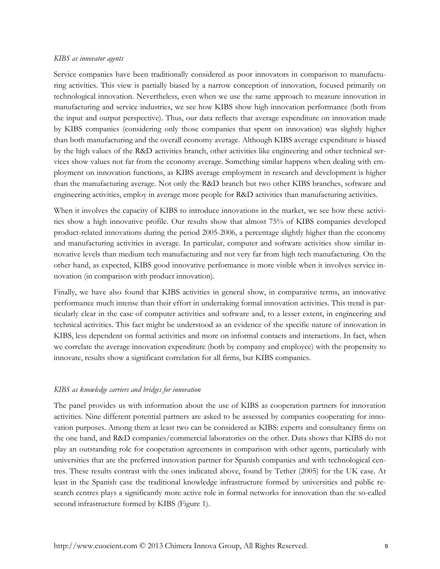#### *KIBS as innovator agents*

Service companies have been traditionally considered as poor innovators in comparison to manufacturing activities. This view is partially biased by a narrow conception of innovation, focused primarily on technological innovation. Nevertheless, even when we use the same approach to measure innovation in manufacturing and service industries, we see how KIBS show high innovation performance (both from the input and output perspective). Thus, our data reflects that average expenditure on innovation made by KIBS companies (considering only those companies that spent on innovation) was slightly higher than both manufacturing and the overall economy average. Although KIBS average expenditure is biased by the high values of the R&D activities branch, other activities like engineering and other technical services show values not far from the economy average. Something similar happens when dealing with employment on innovation functions, as KIBS average employment in research and development is higher than the manufacturing average. Not only the R&D branch but two other KIBS branches, software and engineering activities, employ in average more people for R&D activities than manufacturing activities.

When it involves the capacity of KIBS to introduce innovations in the market, we see how these activities show a high innovative profile. Our results show that almost 75% of KIBS companies developed product-related innovations during the period 2005-2006, a percentage slightly higher than the economy and manufacturing activities in average. In particular, computer and software activities show similar innovative levels than medium tech manufacturing and not very far from high tech manufacturing. On the other hand, as expected, KIBS good innovative performance is more visible when it involves service innovation (in comparison with product innovation).

Finally, we have also found that KIBS activities in general show, in comparative terms, an innovative performance much intense than their effort in undertaking formal innovation activities. This trend is particularly clear in the case of computer activities and software and, to a lesser extent, in engineering and technical activities. This fact might be understood as an evidence of the specific nature of innovation in KIBS, less dependent on formal activities and more on informal contacts and interactions. In fact, when we correlate the average innovation expenditure (both by company and employee) with the propensity to innovate, results show a significant correlation for all firms, but KIBS companies.

#### *KIBS as knowledge carriers and bridges for innovation*

The panel provides us with information about the use of KIBS as cooperation partners for innovation activities. Nine different potential partners are asked to be assessed by companies cooperating for innovation purposes. Among them at least two can be considered as KIBS: experts and consultancy firms on the one hand, and R&D companies/commercial laboratories on the other. Data shows that KIBS do not play an outstanding role for cooperation agreements in comparison with other agents, particularly with universities that are the preferred innovation partner for Spanish companies and with technological centres. These results contrast with the ones indicated above, found by Tether (2005) for the UK case. At least in the Spanish case the traditional knowledge infrastructure formed by universities and public research centres plays a significantly more active role in formal networks for innovation than the so-called second infrastructure formed by KIBS (Figure 1).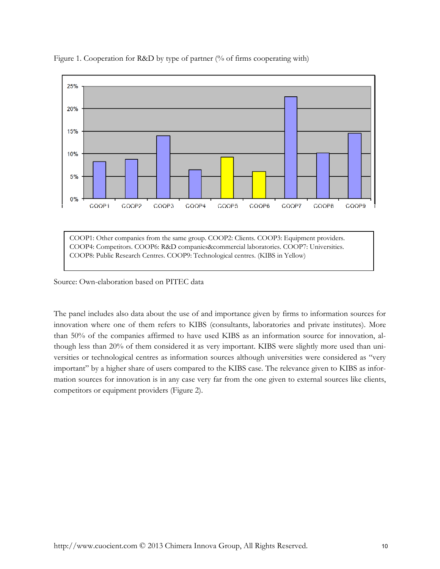

Figure 1. Cooperation for R&D by type of partner (% of firms cooperating with)

COOP1: Other companies from the same group. COOP2: Clients. COOP3: Equipment providers. COOP4: Competitors. COOP6: R&D companies&commercial laboratories. COOP7: Universities. COOP8: Public Research Centres. COOP9: Technological centres. (KIBS in Yellow)

Source: Own-elaboration based on PITEC data

The panel includes also data about the use of and importance given by firms to information sources for innovation where one of them refers to KIBS (consultants, laboratories and private institutes). More than 50% of the companies affirmed to have used KIBS as an information source for innovation, although less than 20% of them considered it as very important. KIBS were slightly more used than universities or technological centres as information sources although universities were considered as "very important" by a higher share of users compared to the KIBS case. The relevance given to KIBS as information sources for innovation is in any case very far from the one given to external sources like clients, competitors or equipment providers (Figure 2).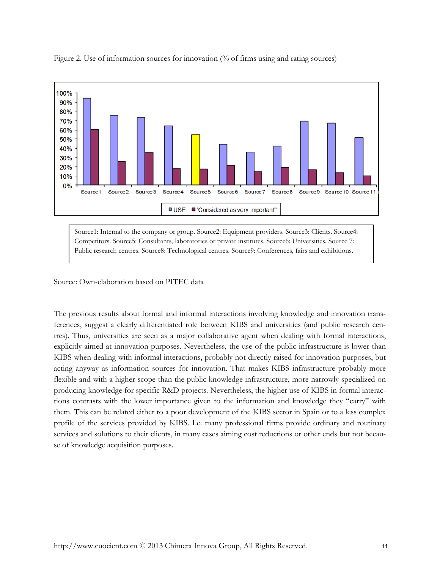

Figure 2. Use of information sources for innovation (% of firms using and rating sources)

Source1: Internal to the company or group. Source2: Equipment providers. Source3: Clients. Source4: Competitors. Source5: Consultants, laboratories or private institutes. Source6: Universities. Source 7: Public research centres. Source8: Technological centres. Source9: Conferences, fairs and exhibitions.

#### Source: Own-elaboration based on PITEC data

The previous results about formal and informal interactions involving knowledge and innovation transferences, suggest a clearly differentiated role between KIBS and universities (and public research centres). Thus, universities are seen as a major collaborative agent when dealing with formal interactions, explicitly aimed at innovation purposes. Nevertheless, the use of the public infrastructure is lower than KIBS when dealing with informal interactions, probably not directly raised for innovation purposes, but acting anyway as information sources for innovation. That makes KIBS infrastructure probably more flexible and with a higher scope than the public knowledge infrastructure, more narrowly specialized on producing knowledge for specific R&D projects. Nevertheless, the higher use of KIBS in formal interactions contrasts with the lower importance given to the information and knowledge they "carry" with them. This can be related either to a poor development of the KIBS sector in Spain or to a less complex profile of the services provided by KIBS. I.e. many professional firms provide ordinary and routinary services and solutions to their clients, in many cases aiming cost reductions or other ends but not because of knowledge acquisition purposes.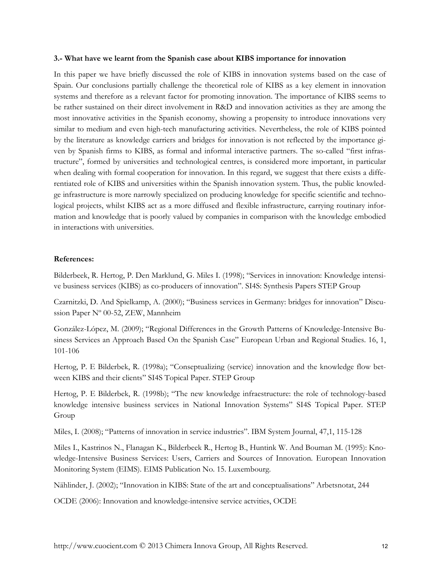#### **3.- What have we learnt from the Spanish case about KIBS importance for innovation**

In this paper we have briefly discussed the role of KIBS in innovation systems based on the case of Spain. Our conclusions partially challenge the theoretical role of KIBS as a key element in innovation systems and therefore as a relevant factor for promoting innovation. The importance of KIBS seems to be rather sustained on their direct involvement in R&D and innovation activities as they are among the most innovative activities in the Spanish economy, showing a propensity to introduce innovations very similar to medium and even high-tech manufacturing activities. Nevertheless, the role of KIBS pointed by the literature as knowledge carriers and bridges for innovation is not reflected by the importance given by Spanish firms to KIBS, as formal and informal interactive partners. The so-called "first infrastructure", formed by universities and technological centres, is considered more important, in particular when dealing with formal cooperation for innovation. In this regard, we suggest that there exists a differentiated role of KIBS and universities within the Spanish innovation system. Thus, the public knowledge infrastructure is more narrowly specialized on producing knowledge for specific scientific and technological projects, whilst KIBS act as a more diffused and flexible infrastructure, carrying routinary information and knowledge that is poorly valued by companies in comparison with the knowledge embodied in interactions with universities.

#### **References:**

Bilderbeek, R. Hertog, P. Den Marklund, G. Miles I. (1998); "Services in innovation: Knowledge intensive business services (KIBS) as co-producers of innovation". SI4S: Synthesis Papers STEP Group

Czarnitzki, D. And Spielkamp, A. (2000); "Business services in Germany: bridges for innovation" Discussion Paper Nº 00-52, ZEW, Mannheim

González-López, M. (2009); "Regional Differences in the Growth Patterns of Knowledge-Intensive Business Services an Approach Based On the Spanish Case" European Urban and Regional Studies. 16, 1, 101-106

Hertog, P. E Bilderbek, R. (1998a); "Conseptualizing (service) innovation and the knowledge flow between KIBS and their clients" SI4S Topical Paper. STEP Group

Hertog, P. E Bilderbek, R. (1998b); "The new knowledge infraestructure: the role of technology-based knowledge intensive business services in National Innovation Systems" SI4S Topical Paper. STEP Group

Miles, I. (2008); "Patterns of innovation in service industries". IBM System Journal, 47,1, 115-128

Miles I., Kastrinos N., Flanagan K., Bilderbeek R., Hertog B., Huntink W. And Bouman M. (1995): Knowledge-Intensive Business Services: Users, Carriers and Sources of Innovation. European Innovation Monitoring System (EIMS). EIMS Publication No. 15. Luxembourg.

Nählinder, J. (2002); "Innovation in KIBS: State of the art and conceptualisations" Arbetsnotat, 244

OCDE (2006): Innovation and knowledge-intensive service actvities, OCDE